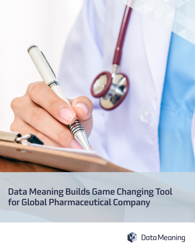

# Data Meaning Builds Game Changing Tool for Global Pharmaceutical Company

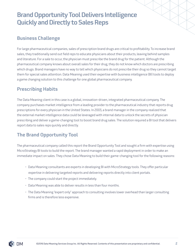# Brand Opportunity Tool Delivers Intelligence Quickly and Directly to Sales Reps

### Business Challenge

For large pharmaceutical companies, sales of prescription brand drugs are critical to profitability. To increase brand sales, they traditionally send out field reps to educate physicians about their products, leaving behind samples and literature. For a sale to occur, the physician must prescribe the brand drug for the patient. Although the pharmaceutical company knows about overall sales for their drug, they do not know which doctors are prescribing which drugs. Brand managers have no way to tell which physicians do not prescribe their drug so they cannot target them for special sales attention. Data Meaning used their expertise with business intelligence (BI) tools to deploy a game changing solution to this challenge for one global pharmaceutical company.

### Prescribing Habits

The Data Meaning client in this case is a global, innovation-driven, integrated pharmaceutical company. The company purchases market intelligence from a leading provider to the pharmaceutical industry that reports drug prescriptions for every physician in the United States. In 2003, a brand manager in the company realized that the external market intelligence data could be leveraged with internal data to unlock the secrets of physician prescribing and deliver a game-changing tool to boost brand drug sales. The solution required a BI tool that delivers report data to sales reps quickly and directly.

## The Brand Opportunity Tool

The pharmaceutical company called this report the Brand Opportunity Tool and sought a firm with expertise using MicroStrategy BI tools to build the report. The brand manager wanted a rapid deployment in order to make an immediate impact on sales. They chose Data Meaning to build their game-changing tool for the following reasons:

- Data Meaning consultants are experts in developing BI with MicroStrategy tools. They offer particular expertise in delivering targeted reports and delivering reports directly into client portals.
- The company could start the project immediately.
- Data Meaning was able to deliver results in less than four months.
- The Data Meaning "expert only" approach to consulting involves lower overhead than larger consulting firms and is therefore less expensive.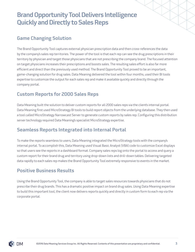# Brand Opportunity Tool Delivers Intelligence Quickly and Directly to Sales Reps

### Game Changing Solution

The Brand Opportunity Tool captures external physician prescription data and then cross-references the data by the company's sales rep territories. The power of the tool is that each rep can see the drug prescriptions in their territory by physician and target those physicians that are not prescribing the company brand. The focused attention on target physicians increases their prescriptions and boosts sales. The resulting sales effort is also far more efficient and direct than the previously used method. The Brand Opportunity Tool proved to be an important, game-changing solution for drug sales. Data Meaning delivered the tool within four months, used their BI tools expertise to customize the output for each sales rep and make it available quickly and directly through the company portal.

## Custom Reports for 2000 Sales Reps

Data Meaning built the solution to deliver custom reports for all 2000 sales reps via the client's internal portal. Data Meaning first used MicroStrategy BI tools to build report objects from the underlying database. They then used a tool called MicroStrategy Narrowcast Server to generate custom reports by sales rep. Configuring this distribution server technology required Data Meaning's specialist MicroStrategy expertise.

#### Seamless Reports Integrated into Internal Portal

To make the reports seamless to users, Data Meaning integrated the MicroStrategy tools with the company's internal portal. To accomplish this, Data Meaning used Visual Basic Analyst (VBA) code to customize Excel displays so that users see the reports in a dashboard format. Company sales reps log onto the portal to access and query a custom report for their brand drug and territory using drop-down lists and drill-down tables. Delivering targeted data rapidly to each sales rep makes the Brand Opportunity Tool extremely responsive to events in the market.

#### Positive Business Results

Using the Brand Opportunity Tool, the company is able to target sales resources towards physicians that do not prescribe their drug brands. This has a dramatic positive impact on brand drug sales. Using Data Meaning expertise to build this important tool, the client now delivers reports quickly and directly in custom form to each rep via the corporate portal.